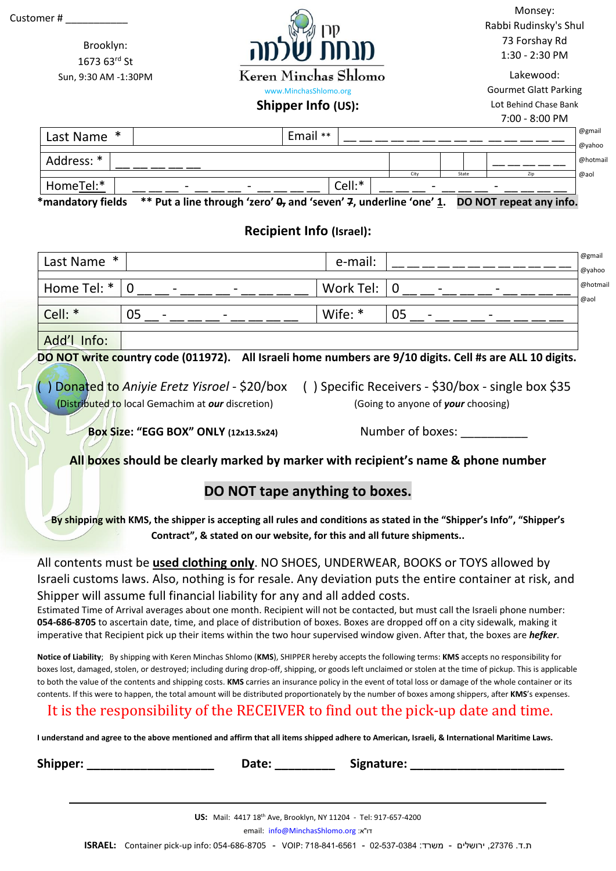

Brooklyn: 1673 63rd St Sun, 9:30 AM -1:30PM Keren Minchas Shlomo

Monsey: Rabbi Rudinsky's Shul 73 Forshay Rd 1:30 - 2:30 PM

Lakewood: Gourmet Glatt Parking Lot Behind Chase Bank

### **Shipper Info (US):** www.MinchasShlomo.org

#### 7:00 - 8:00 PM

| Last Name * |   | Email **                 |        |      |       |                          | @gmail  |
|-------------|---|--------------------------|--------|------|-------|--------------------------|---------|
|             |   |                          |        |      |       |                          |         |
| Address: *  |   |                          |        |      |       |                          | @hotmai |
|             |   |                          |        | City | State |                          | @aol    |
| HomeTel:*   | - | $\overline{\phantom{a}}$ | Cell:* | -    |       | $\overline{\phantom{0}}$ |         |

**\*mandatory fields \*\* Put a line through 'zero' 0, and 'seven' 7, underline 'one' 1. DO NOT repeat any info.**

## **Recipient Info (Israel):**

| Last Name *             |                                                            | e-mail:     |                                                      | @gmail<br>@yahoo |  |  |  |
|-------------------------|------------------------------------------------------------|-------------|------------------------------------------------------|------------------|--|--|--|
|                         |                                                            |             |                                                      |                  |  |  |  |
| $ $ Home Tel: $*$ $ $ 0 |                                                            | Work Tel: 0 |                                                      | @hotmai          |  |  |  |
|                         |                                                            |             |                                                      |                  |  |  |  |
| Cell: *                 | 05<br>$\overline{\phantom{0}}$<br>$\overline{\phantom{0}}$ | Wife: $*$   | $\overline{\phantom{0}}$<br>$\overline{\phantom{0}}$ |                  |  |  |  |
|                         |                                                            |             |                                                      |                  |  |  |  |
| Add'l Info:             |                                                            |             |                                                      |                  |  |  |  |

**DO NOT write country code (011972). All Israeli home numbers are 9/10 digits. Cell #s are ALL 10 digits.** 

(Distributed to local Gemachim at *our* discretion) (Going to anyone of *your* choosing)

( ) Donated to *Aniyie Eretz Yisroel* - \$20/box ( ) Specific Receivers - \$30/box - single box \$35

**Box Size: "EGG BOX" ONLY (12x13.5x24)** Number of boxes: \_\_\_\_\_\_\_\_\_\_

## **All boxes should be clearly marked by marker with recipient's name & phone number**

## **DO NOT tape anything to boxes.**

**By shipping with KMS, the shipper is accepting all rules and conditions as stated in the "Shipper's Info", "Shipper's Contract", & stated on our website, for this and all future shipments..**

All contents must be **used clothing only**. NO SHOES, UNDERWEAR, BOOKS or TOYS allowed by Israeli customs laws. Also, nothing is for resale. Any deviation puts the entire container at risk, and Shipper will assume full financial liability for any and all added costs.

Estimated Time of Arrival averages about one month. Recipient will not be contacted, but must call the Israeli phone number: **054-686-8705** to ascertain date, time, and place of distribution of boxes. Boxes are dropped off on a city sidewalk, making it imperative that Recipient pick up their items within the two hour supervised window given. After that, the boxes are *hefker*.

**Notice of Liability**; By shipping with Keren Minchas Shlomo (**KMS**), SHIPPER hereby accepts the following terms: **KMS** accepts no responsibility for boxes lost, damaged, stolen, or destroyed; including during drop-off, shipping, or goods left unclaimed or stolen at the time of pickup. This is applicable to both the value of the contents and shipping costs. **KMS** carries an insurance policy in the event of total loss or damage of the whole container or its contents. If this were to happen, the total amount will be distributed proportionately by the number of boxes among shippers, after **KMS**'s expenses.

# It is the responsibility of the RECEIVER to find out the pick-up date and time.

**I understand and agree to the above mentioned and affirm that all items shipped adhere to American, Israeli, & International Maritime Laws.**

**Shipper: \_\_\_\_\_\_\_\_\_\_\_\_\_\_\_\_\_\_\_ Date: \_\_\_\_\_\_\_\_\_ Signature: \_\_\_\_\_\_\_\_\_\_\_\_\_\_\_\_\_\_\_\_\_\_\_**

email: [info@MinchasShlomo.org](mailto:info@MinchasShlomo.org) :א"דו

**ISRAEL:** Container pick-up info: 054-686-8705 - VOIP: 718-841-6561 - 02-537-0384 :משרד - ירושלים ,27376 .ד.ת